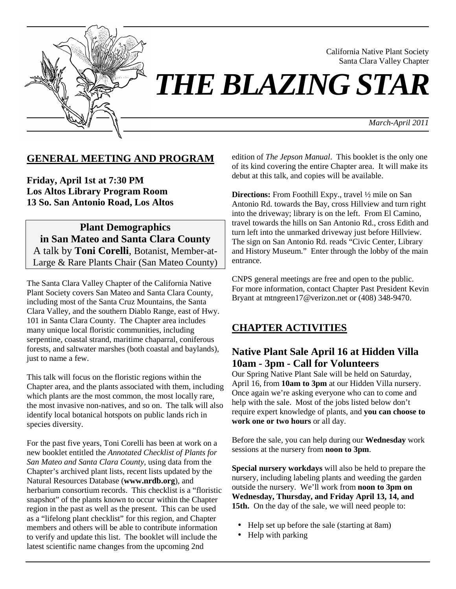

California Native Plant Society Santa Clara Valley Chapter

*THE BLAZING STAR* 

*March-April 2011*

# **GENERAL MEETING AND PROGRAM**

**Friday, April 1st at 7:30 PM Los Altos Library Program Room 13 So. San Antonio Road, Los Altos**

**Plant Demographics in San Mateo and Santa Clara County** A talk by **Toni Corelli**, Botanist, Member-at-Large & Rare Plants Chair (San Mateo County)

The Santa Clara Valley Chapter of the California Native Plant Society covers San Mateo and Santa Clara County, including most of the Santa Cruz Mountains, the Santa Clara Valley, and the southern Diablo Range, east of Hwy. 101 in Santa Clara County. The Chapter area includes many unique local floristic communities, including serpentine, coastal strand, maritime chaparral, coniferous forests, and saltwater marshes (both coastal and baylands), just to name a few.

This talk will focus on the floristic regions within the Chapter area, and the plants associated with them, including which plants are the most common, the most locally rare, the most invasive non-natives, and so on. The talk will also identify local botanical hotspots on public lands rich in species diversity.

For the past five years, Toni Corelli has been at work on a new booklet entitled the *Annotated Checklist of Plants for San Mateo and Santa Clara County*, using data from the Chapter's archived plant lists, recent lists updated by the Natural Resources Database (**www.nrdb.org**), and herbarium consortium records. This checklist is a "floristic snapshot" of the plants known to occur within the Chapter region in the past as well as the present. This can be used as a "lifelong plant checklist" for this region, and Chapter members and others will be able to contribute information to verify and update this list. The booklet will include the latest scientific name changes from the upcoming 2nd

edition of *The Jepson Manual*. This booklet is the only one of its kind covering the entire Chapter area. It will make its debut at this talk, and copies will be available.

**Directions:** From Foothill Expy., travel ½ mile on San Antonio Rd. towards the Bay, cross Hillview and turn right into the driveway; library is on the left. From El Camino, travel towards the hills on San Antonio Rd., cross Edith and turn left into the unmarked driveway just before Hillview. The sign on San Antonio Rd. reads "Civic Center, Library and History Museum." Enter through the lobby of the main entrance.

CNPS general meetings are free and open to the public. For more information, contact Chapter Past President Kevin Bryant at mtngreen17@verizon.net or (408) 348-9470.

# **CHAPTER ACTIVITIES**

# **Native Plant Sale April 16 at Hidden Villa 10am - 3pm - Call for Volunteers**

Our Spring Native Plant Sale will be held on Saturday, April 16, from **10am to 3pm** at our Hidden Villa nursery. Once again we're asking everyone who can to come and help with the sale. Most of the jobs listed below don't require expert knowledge of plants, and **you can choose to work one or two hours** or all day.

Before the sale, you can help during our **Wednesday** work sessions at the nursery from **noon to 3pm**.

**Special nursery workdays** will also be held to prepare the nursery, including labeling plants and weeding the garden outside the nursery. We'll work from **noon to 3pm on Wednesday, Thursday, and Friday April 13, 14, and**  15th. On the day of the sale, we will need people to:

- Help set up before the sale (starting at 8am)
- Help with parking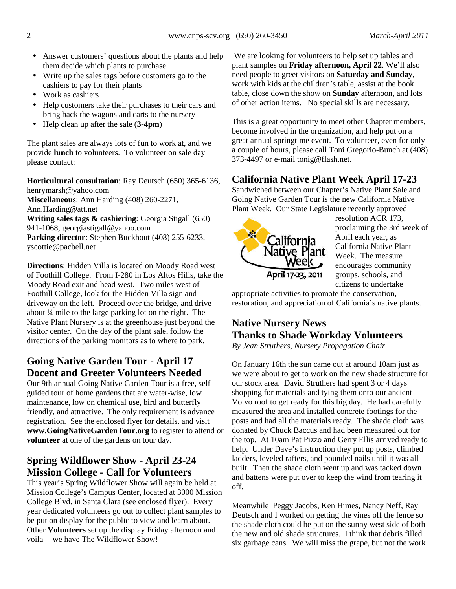- Answer customers' questions about the plants and help them decide which plants to purchase
- Write up the sales tags before customers go to the cashiers to pay for their plants
- Work as cashiers
- Help customers take their purchases to their cars and bring back the wagons and carts to the nursery
- Help clean up after the sale (**3-4pm**)

The plant sales are always lots of fun to work at, and we provide **lunch** to volunteers. To volunteer on sale day please contact:

**Horticultural consultation**: Ray Deutsch (650) 365-6136, henrymarsh@yahoo.com **Miscellaneou**s: Ann Harding (408) 260-2271, Ann.Harding@att.net **Writing sales tags & cashiering**: Georgia Stigall (650) 941-1068, georgiastigall@yahoo.com **Parking director**: Stephen Buckhout (408) 255-6233, yscottie@pacbell.net

**Directions**: Hidden Villa is located on Moody Road west of Foothill College. From I-280 in Los Altos Hills, take the Moody Road exit and head west. Two miles west of Foothill College, look for the Hidden Villa sign and driveway on the left. Proceed over the bridge, and drive about ¼ mile to the large parking lot on the right. The Native Plant Nursery is at the greenhouse just beyond the visitor center. On the day of the plant sale, follow the directions of the parking monitors as to where to park.

# **Going Native Garden Tour - April 17 Docent and Greeter Volunteers Needed**

Our 9th annual Going Native Garden Tour is a free, selfguided tour of home gardens that are water-wise, low maintenance, low on chemical use, bird and butterfly friendly, and attractive. The only requirement is advance registration. See the enclosed flyer for details, and visit **www.GoingNativeGardenTour.org** to register to attend or **volunteer** at one of the gardens on tour day.

# **Spring Wildflower Show - April 23-24 Mission College - Call for Volunteers**

This year's Spring Wildflower Show will again be held at Mission College's Campus Center, located at 3000 Mission College Blvd. in Santa Clara (see enclosed flyer). Every year dedicated volunteers go out to collect plant samples to be put on display for the public to view and learn about. Other **Volunteers** set up the display Friday afternoon and voila -- we have The Wildflower Show!

 We are looking for volunteers to help set up tables and plant samples on **Friday afternoon, April 22**. We'll also need people to greet visitors on **Saturday and Sunday**, work with kids at the children's table, assist at the book table, close down the show on **Sunday** afternoon, and lots of other action items. No special skills are necessary.

This is a great opportunity to meet other Chapter members, become involved in the organization, and help put on a great annual springtime event. To volunteer, even for only a couple of hours, please call Toni Gregorio-Bunch at (408) 373-4497 or e-mail tonig@flash.net.

# **California Native Plant Week April 17-23**

Sandwiched between our Chapter's Native Plant Sale and Going Native Garden Tour is the new California Native Plant Week. Our State Legislature recently approved



resolution ACR 173, proclaiming the 3rd week of April each year, as California Native Plant Week. The measure encourages community groups, schools, and citizens to undertake

appropriate activities to promote the conservation, restoration, and appreciation of California's native plants.

# **Native Nursery News Thanks to Shade Workday Volunteers**

*By Jean Struthers, Nursery Propagation Chair* 

On January 16th the sun came out at around 10am just as we were about to get to work on the new shade structure for our stock area. David Struthers had spent 3 or 4 days shopping for materials and tying them onto our ancient Volvo roof to get ready for this big day. He had carefully measured the area and installed concrete footings for the posts and had all the materials ready. The shade cloth was donated by Chuck Baccus and had been measured out for the top. At 10am Pat Pizzo and Gerry Ellis arrived ready to help. Under Dave's instruction they put up posts, climbed ladders, leveled rafters, and pounded nails until it was all built. Then the shade cloth went up and was tacked down and battens were put over to keep the wind from tearing it off.

Meanwhile Peggy Jacobs, Ken Himes, Nancy Neff, Ray Deutsch and I worked on getting the vines off the fence so the shade cloth could be put on the sunny west side of both the new and old shade structures. I think that debris filled six garbage cans. We will miss the grape, but not the work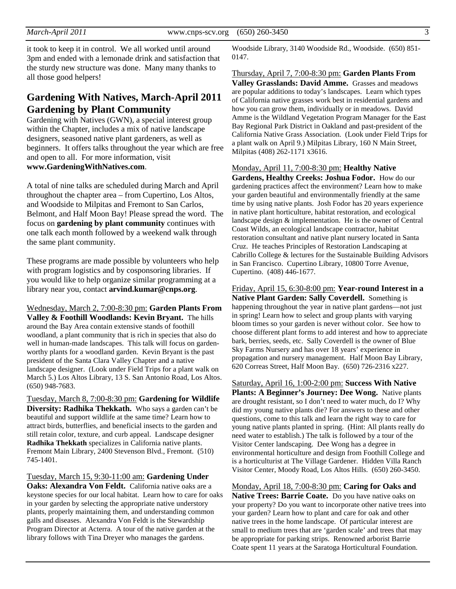it took to keep it in control. We all worked until around 3pm and ended with a lemonade drink and satisfaction that the sturdy new structure was done. Many many thanks to all those good helpers!

# **Gardening With Natives, March-April 2011 Gardening by Plant Community**

Gardening with Natives (GWN), a special interest group within the Chapter, includes a mix of native landscape designers, seasoned native plant gardeners, as well as beginners. It offers talks throughout the year which are free and open to all. For more information, visit **www.GardeningWithNatives.com**.

A total of nine talks are scheduled during March and April throughout the chapter area – from Cupertino, Los Altos, and Woodside to Milpitas and Fremont to San Carlos, Belmont, and Half Moon Bay! Please spread the word. The focus on **gardening by plant community** continues with one talk each month followed by a weekend walk through the same plant community.

These programs are made possible by volunteers who help with program logistics and by cosponsoring libraries. If you would like to help organize similar programming at a library near you, contact **arvind.kumar@cnps.org**.

Wednesday, March 2, 7:00-8:30 pm: **Garden Plants From Valley & Foothill Woodlands: Kevin Bryant.** The hills around the Bay Area contain extensive stands of foothill woodland, a plant community that is rich in species that also do well in human-made landscapes. This talk will focus on gardenworthy plants for a woodland garden. Kevin Bryant is the past president of the Santa Clara Valley Chapter and a native landscape designer. (Look under Field Trips for a plant walk on March 5.) Los Altos Library, 13 S. San Antonio Road, Los Altos. (650) 948-7683.

Tuesday, March 8, 7:00-8:30 pm: **Gardening for Wildlife Diversity: Radhika Thekkath.** Who says a garden can't be beautiful and support wildlife at the same time? Learn how to attract birds, butterflies, and beneficial insects to the garden and still retain color, texture, and curb appeal. Landscape designer **Radhika Thekkath** specializes in California native plants. Fremont Main Library, 2400 Stevenson Blvd., Fremont. (510) 745-1401.

Tuesday, March 15, 9:30-11:00 am: **Gardening Under** 

**Oaks: Alexandra Von Feldt.** California native oaks are a keystone species for our local habitat. Learn how to care for oaks in your garden by selecting the appropriate native understory plants, properly maintaining them, and understanding common galls and diseases. Alexandra Von Feldt is the Stewardship Program Director at Acterra. A tour of the native garden at the library follows with Tina Dreyer who manages the gardens.

Woodside Library, 3140 Woodside Rd., Woodside. (650) 851- 0147.

Thursday, April 7, 7:00-8:30 pm: **Garden Plants From Valley Grasslands: David Amme.** Grasses and meadows are popular additions to today's landscapes. Learn which types of California native grasses work best in residential gardens and how you can grow them, individually or in meadows. David Amme is the Wildland Vegetation Program Manager for the East Bay Regional Park District in Oakland and past-president of the California Native Grass Association. (Look under Field Trips for a plant walk on April 9.) Milpitas Library, 160 N Main Street, Milpitas (408) 262-1171 x3616.

Monday, April 11, 7:00-8:30 pm: **Healthy Native Gardens, Healthy Creeks: Joshua Fodor.** How do our gardening practices affect the environment? Learn how to make your garden beautiful and environmentally friendly at the same time by using native plants. Josh Fodor has 20 years experience in native plant horticulture, habitat restoration, and ecological landscape design & implementation. He is the owner of Central Coast Wilds, an ecological landscape contractor, habitat restoration consultant and native plant nursery located in Santa Cruz. He teaches Principles of Restoration Landscaping at Cabrillo College & lectures for the Sustainable Building Advisors in San Francisco. Cupertino Library, 10800 Torre Avenue, Cupertino. (408) 446-1677.

Friday, April 15, 6:30-8:00 pm: **Year-round Interest in a Native Plant Garden: Sally Coverdell.** Something is happening throughout the year in native plant gardens—not just in spring! Learn how to select and group plants with varying bloom times so your garden is never without color. See how to choose different plant forms to add interest and how to appreciate bark, berries, seeds, etc. Sally Coverdell is the owner of Blue Sky Farms Nursery and has over 18 years' experience in propagation and nursery management. Half Moon Bay Library, 620 Correas Street, Half Moon Bay. (650) 726-2316 x227.

Saturday, April 16, 1:00-2:00 pm: **Success With Native**  Plants: A Beginner's Journey: Dee Wong. Native plants are drought resistant, so I don't need to water much, do I? Why did my young native plants die? For answers to these and other questions, come to this talk and learn the right way to care for young native plants planted in spring. (Hint: All plants really do need water to establish.) The talk is followed by a tour of the Visitor Center landscaping. Dee Wong has a degree in environmental horticulture and design from Foothill College and is a horticulturist at The Village Gardener. Hidden Villa Ranch Visitor Center, Moody Road, Los Altos Hills. (650) 260-3450.

Monday, April 18, 7:00-8:30 pm: **Caring for Oaks and Native Trees: Barrie Coate.** Do you have native oaks on your property? Do you want to incorporate other native trees into your garden? Learn how to plant and care for oak and other native trees in the home landscape. Of particular interest are small to medium trees that are 'garden scale' and trees that may be appropriate for parking strips. Renowned arborist Barrie Coate spent 11 years at the Saratoga Horticultural Foundation.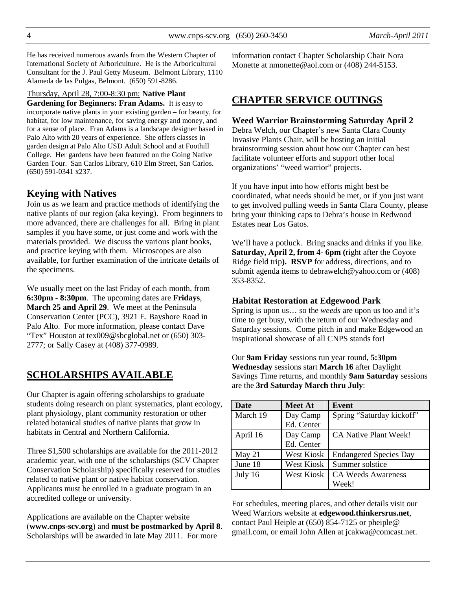He has received numerous awards from the Western Chapter of International Society of Arboriculture. He is the Arboricultural Consultant for the J. Paul Getty Museum. Belmont Library, 1110 Alameda de las Pulgas, Belmont. (650) 591-8286.

### Thursday, April 28, 7:00-8:30 pm: **Native Plant**

**Gardening for Beginners: Fran Adams.** It is easy to incorporate native plants in your existing garden – for beauty, for habitat, for low maintenance, for saving energy and money, and for a sense of place. Fran Adams is a landscape designer based in Palo Alto with 20 years of experience. She offers classes in garden design at Palo Alto USD Adult School and at Foothill College. Her gardens have been featured on the Going Native Garden Tour. San Carlos Library, 610 Elm Street, San Carlos. (650) 591-0341 x237.

### **Keying with Natives**

Join us as we learn and practice methods of identifying the native plants of our region (aka keying). From beginners to more advanced, there are challenges for all. Bring in plant samples if you have some, or just come and work with the materials provided. We discuss the various plant books, and practice keying with them. Microscopes are also available, for further examination of the intricate details of the specimens.

We usually meet on the last Friday of each month, from **6:30pm - 8:30pm**. The upcoming dates are **Fridays**, **March 25 and April 29**. We meet at the Peninsula Conservation Center (PCC), 3921 E. Bayshore Road in Palo Alto. For more information, please contact Dave "Tex" Houston at tex009@sbcglobal.net or (650) 303- 2777; or Sally Casey at (408) 377-0989.

### **SCHOLARSHIPS AVAILABLE**

Our Chapter is again offering scholarships to graduate students doing research on plant systematics, plant ecology, plant physiology, plant community restoration or other related botanical studies of native plants that grow in habitats in Central and Northern California.

Three \$1,500 scholarships are available for the 2011-2012 academic year, with one of the scholarships (SCV Chapter Conservation Scholarship) specifically reserved for studies related to native plant or native habitat conservation. Applicants must be enrolled in a graduate program in an accredited college or university.

Applications are available on the Chapter website (**www.cnps-scv.org**) and **must be postmarked by April 8**. Scholarships will be awarded in late May 2011. For more

information contact Chapter Scholarship Chair Nora Monette at nmonette@aol.com or (408) 244-5153.

# **CHAPTER SERVICE OUTINGS**

#### **Weed Warrior Brainstorming Saturday April 2**

Debra Welch, our Chapter's new Santa Clara County Invasive Plants Chair, will be hosting an initial brainstorming session about how our Chapter can best facilitate volunteer efforts and support other local organizations' "weed warrior" projects.

If you have input into how efforts might best be coordinated, what needs should be met, or if you just want to get involved pulling weeds in Santa Clara County, please bring your thinking caps to Debra's house in Redwood Estates near Los Gatos.

We'll have a potluck. Bring snacks and drinks if you like. **Saturday, April 2, from 4- 6pm** (right after the Coyote Ridge field trip**). RSVP** for address, directions, and to submit agenda items to debrawelch@yahoo.com or (408) 353-8352.

#### **Habitat Restoration at Edgewood Park**

Spring is upon us… so the *weeds* are upon us too and it's time to get busy, with the return of our Wednesday and Saturday sessions. Come pitch in and make Edgewood an inspirational showcase of all CNPS stands for!

Our **9am Friday** sessions run year round, **5:30pm Wednesday** sessions start **March 16** after Daylight Savings Time returns, and monthly **9am Saturday** sessions are the **3rd Saturday March thru July**:

| <b>Date</b> | <b>Meet At</b>    | Event                         |
|-------------|-------------------|-------------------------------|
| March 19    | Day Camp          | Spring "Saturday kickoff"     |
|             | Ed. Center        |                               |
| April 16    | Day Camp          | CA Native Plant Week!         |
|             | Ed. Center        |                               |
| May 21      | <b>West Kiosk</b> | <b>Endangered Species Day</b> |
| June 18     | <b>West Kiosk</b> | Summer solstice               |
| July 16     | <b>West Kiosk</b> | <b>CA Weeds Awareness</b>     |
|             |                   | Week!                         |

For schedules, meeting places, and other details visit our Weed Warriors website at **edgewood.thinkersrus.net**, contact Paul Heiple at (650) 854-7125 or pheiple@ gmail.com, or email John Allen at jcakwa@comcast.net.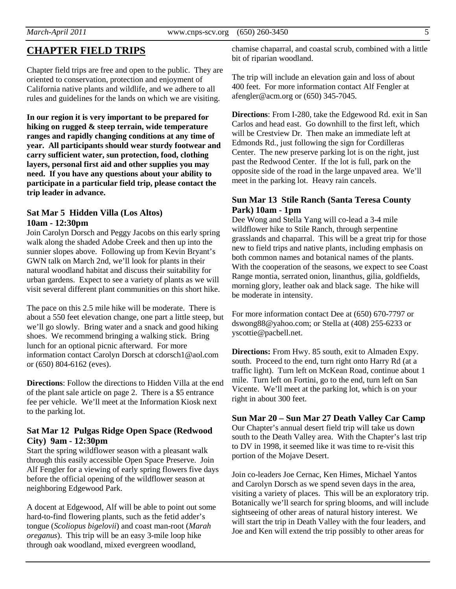# **CHAPTER FIELD TRIPS**

Chapter field trips are free and open to the public. They are oriented to conservation, protection and enjoyment of California native plants and wildlife, and we adhere to all rules and guidelines for the lands on which we are visiting.

**In our region it is very important to be prepared for hiking on rugged & steep terrain, wide temperature ranges and rapidly changing conditions at any time of year. All participants should wear sturdy footwear and carry sufficient water, sun protection, food, clothing layers, personal first aid and other supplies you may need. If you have any questions about your ability to participate in a particular field trip, please contact the trip leader in advance.** 

#### **Sat Mar 5 Hidden Villa (Los Altos) 10am - 12:30pm**

Join Carolyn Dorsch and Peggy Jacobs on this early spring walk along the shaded Adobe Creek and then up into the sunnier slopes above. Following up from Kevin Bryant's GWN talk on March 2nd, we'll look for plants in their natural woodland habitat and discuss their suitability for urban gardens. Expect to see a variety of plants as we will visit several different plant communities on this short hike.

The pace on this 2.5 mile hike will be moderate. There is about a 550 feet elevation change, one part a little steep, but we'll go slowly. Bring water and a snack and good hiking shoes. We recommend bringing a walking stick. Bring lunch for an optional picnic afterward. For more information contact Carolyn Dorsch at cdorsch1@aol.com or (650) 804-6162 (eves).

**Directions**: Follow the directions to Hidden Villa at the end of the plant sale article on page 2. There is a \$5 entrance fee per vehicle. We'll meet at the Information Kiosk next to the parking lot.

#### **Sat Mar 12 Pulgas Ridge Open Space (Redwood City) 9am - 12:30pm**

Start the spring wildflower season with a pleasant walk through this easily accessible Open Space Preserve. Join Alf Fengler for a viewing of early spring flowers five days before the official opening of the wildflower season at neighboring Edgewood Park.

A docent at Edgewood, Alf will be able to point out some hard-to-find flowering plants, such as the fetid adder's tongue (*Scoliopus bigelovii*) and coast man-root (*Marah oreganus*). This trip will be an easy 3-mile loop hike through oak woodland, mixed evergreen woodland,

chamise chaparral, and coastal scrub, combined with a little bit of riparian woodland.

The trip will include an elevation gain and loss of about 400 feet. For more information contact Alf Fengler at afengler@acm.org or (650) 345-7045.

**Directions**: From I-280, take the Edgewood Rd. exit in San Carlos and head east. Go downhill to the first left, which will be Crestview Dr. Then make an immediate left at Edmonds Rd., just following the sign for Cordilleras Center. The new preserve parking lot is on the right, just past the Redwood Center. If the lot is full, park on the opposite side of the road in the large unpaved area. We'll meet in the parking lot. Heavy rain cancels.

### **Sun Mar 13 Stile Ranch (Santa Teresa County Park) 10am - 1pm**

Dee Wong and Stella Yang will co-lead a 3-4 mile wildflower hike to Stile Ranch, through serpentine grasslands and chaparral. This will be a great trip for those new to field trips and native plants, including emphasis on both common names and botanical names of the plants. With the cooperation of the seasons, we expect to see Coast Range montia, serrated onion, linanthus, gilia, goldfields, morning glory, leather oak and black sage. The hike will be moderate in intensity.

For more information contact Dee at (650) 670-7797 or dswong88@yahoo.com; or Stella at (408) 255-6233 or yscottie@pacbell.net.

**Directions:** From Hwy. 85 south, exit to Almaden Expy. south. Proceed to the end, turn right onto Harry Rd (at a traffic light). Turn left on McKean Road, continue about 1 mile. Turn left on Fortini, go to the end, turn left on San Vicente. We'll meet at the parking lot, which is on your right in about 300 feet.

#### **Sun Mar 20 – Sun Mar 27 Death Valley Car Camp**  Our Chapter's annual desert field trip will take us down south to the Death Valley area. With the Chapter's last trip to DV in 1998, it seemed like it was time to re-visit this portion of the Mojave Desert.

Join co-leaders Joe Cernac, Ken Himes, Michael Yantos and Carolyn Dorsch as we spend seven days in the area, visiting a variety of places. This will be an exploratory trip. Botanically we'll search for spring blooms, and will include sightseeing of other areas of natural history interest. We will start the trip in Death Valley with the four leaders, and Joe and Ken will extend the trip possibly to other areas for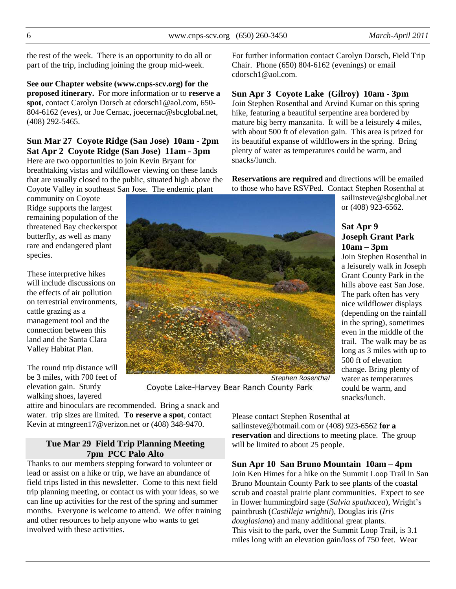the rest of the week. There is an opportunity to do all or part of the trip, including joining the group mid-week.

**See our Chapter website (www.cnps-scv.org) for the proposed itinerary.** For more information or to **reserve a spot**, contact Carolyn Dorsch at cdorsch1@aol.com, 650- 804-6162 (eves), or Joe Cernac, joecernac@sbcglobal.net, (408) 292-5465.

## **Sun Mar 27 Coyote Ridge (San Jose) 10am - 2pm Sat Apr 2 Coyote Ridge (San Jose) 11am - 3pm** Here are two opportunities to join Kevin Bryant for

breathtaking vistas and wildflower viewing on these lands that are usually closed to the public, situated high above the Coyote Valley in southeast San Jose. The endemic plant

community on Coyote Ridge supports the largest remaining population of the threatened Bay checkerspot butterfly, as well as many rare and endangered plant species.

These interpretive hikes will include discussions on the effects of air pollution on terrestrial environments, cattle grazing as a management tool and the connection between this land and the Santa Clara Valley Habitat Plan.

The round trip distance will be 3 miles, with 700 feet of elevation gain. Sturdy walking shoes, layered

For further information contact Carolyn Dorsch, Field Trip Chair. Phone (650) 804-6162 (evenings) or email cdorsch1@aol.com.

### **Sun Apr 3 Coyote Lake (Gilroy) 10am - 3pm**

Join Stephen Rosenthal and Arvind Kumar on this spring hike, featuring a beautiful serpentine area bordered by mature big berry manzanita. It will be a leisurely 4 miles, with about 500 ft of elevation gain. This area is prized for its beautiful expanse of wildflowers in the spring. Bring plenty of water as temperatures could be warm, and snacks/lunch.

**Reservations are required** and directions will be emailed to those who have RSVPed. Contact Stephen Rosenthal at

sailinsteve@sbcglobal.net or (408) 923-6562.

### **Sat Apr 9 Joseph Grant Park 10am – 3pm**

Join Stephen Rosenthal in a leisurely walk in Joseph Grant County Park in the hills above east San Jose. The park often has very nice wildflower displays (depending on the rainfall in the spring), sometimes even in the middle of the trail. The walk may be as long as 3 miles with up to 500 ft of elevation change. Bring plenty of water as temperatures could be warm, and snacks/lunch.

**Stephen Rosenthal** Coyote Lake-Harvey Bear Ranch County Park

attire and binoculars are recommended. Bring a snack and water. trip sizes are limited. **To reserve a spot**, contact Kevin at mtngreen17@verizon.net or (408) 348-9470.

### **Tue Mar 29 Field Trip Planning Meeting 7pm PCC Palo Alto**

Thanks to our members stepping forward to volunteer or lead or assist on a hike or trip, we have an abundance of field trips listed in this newsletter. Come to this next field trip planning meeting, or contact us with your ideas, so we can line up activities for the rest of the spring and summer months. Everyone is welcome to attend. We offer training and other resources to help anyone who wants to get involved with these activities.

Please contact Stephen Rosenthal at sailinsteve@hotmail.com or (408) 923-6562 **for a reservation** and directions to meeting place. The group will be limited to about 25 people.

**Sun Apr 10 San Bruno Mountain 10am – 4pm** 

Join Ken Himes for a hike on the Summit Loop Trail in San Bruno Mountain County Park to see plants of the coastal scrub and coastal prairie plant communities. Expect to see in flower hummingbird sage (*Salvia spathacea*), Wright's paintbrush (*Castilleja wrightii*), Douglas iris (*Iris douglasiana*) and many additional great plants. This visit to the park, over the Summit Loop Trail, is 3.1 miles long with an elevation gain/loss of 750 feet. Wear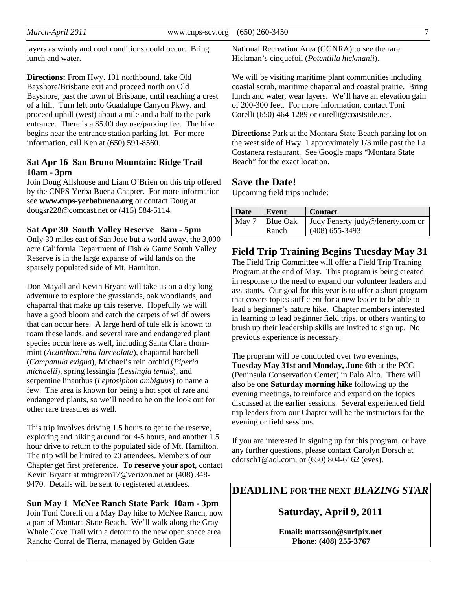*March-April 2011* www.cnps-scv.org (650) 260-3450 7

layers as windy and cool conditions could occur. Bring lunch and water.

**Directions:** From Hwy. 101 northbound, take Old Bayshore/Brisbane exit and proceed north on Old Bayshore, past the town of Brisbane, until reaching a crest of a hill. Turn left onto Guadalupe Canyon Pkwy. and proceed uphill (west) about a mile and a half to the park entrance. There is a \$5.00 day use/parking fee. The hike begins near the entrance station parking lot. For more information, call Ken at (650) 591-8560.

### **Sat Apr 16 San Bruno Mountain: Ridge Trail 10am - 3pm**

Join Doug Allshouse and Liam O'Brien on this trip offered by the CNPS Yerba Buena Chapter. For more information see **www.cnps-yerbabuena.org** or contact Doug at dougsr228@comcast.net or (415) 584-5114.

#### **Sat Apr 30 South Valley Reserve 8am - 5pm**

Only 30 miles east of San Jose but a world away, the 3,000 acre California Department of Fish & Game South Valley Reserve is in the large expanse of wild lands on the sparsely populated side of Mt. Hamilton.

Don Mayall and Kevin Bryant will take us on a day long adventure to explore the grasslands, oak woodlands, and chaparral that make up this reserve. Hopefully we will have a good bloom and catch the carpets of wildflowers that can occur here. A large herd of tule elk is known to roam these lands, and several rare and endangered plant species occur here as well, including Santa Clara thornmint (*Acanthomintha lanceolata*), chaparral harebell (*Campanula exigua*), Michael's rein orchid (*Piperia michaelii*), spring lessingia (*Lessingia tenuis*), and serpentine linanthus (*Leptosiphon ambiguus*) to name a few. The area is known for being a hot spot of rare and endangered plants, so we'll need to be on the look out for other rare treasures as well.

This trip involves driving 1.5 hours to get to the reserve, exploring and hiking around for 4-5 hours, and another 1.5 hour drive to return to the populated side of Mt. Hamilton. The trip will be limited to 20 attendees. Members of our Chapter get first preference. **To reserve your spot**, contact Kevin Bryant at mtngreen17@verizon.net or (408) 348- 9470. Details will be sent to registered attendees.

**Sun May 1 McNee Ranch State Park 10am - 3pm**  Join Toni Corelli on a May Day hike to McNee Ranch, now a part of Montara State Beach. We'll walk along the Gray Whale Cove Trail with a detour to the new open space area Rancho Corral de Tierra, managed by Golden Gate

National Recreation Area (GGNRA) to see the rare Hickman's cinquefoil (*Potentilla hickmanii*).

We will be visiting maritime plant communities including coastal scrub, maritime chaparral and coastal prairie. Bring lunch and water, wear layers. We'll have an elevation gain of 200-300 feet. For more information, contact Toni Corelli (650) 464-1289 or corelli@coastside.net.

**Directions:** Park at the Montara State Beach parking lot on the west side of Hwy. 1 approximately 1/3 mile past the La Costanera restaurant. See Google maps "Montara State Beach" for the exact location.

### **Save the Date!**

Upcoming field trips include:

| <b>Date</b> | <b>Event</b> | <b>Contact</b>                   |
|-------------|--------------|----------------------------------|
| Max 7       | Blue Oak     | Judy Fenerty judy@fenerty.com or |
|             | Ranch        | $(408)$ 655-3493                 |

**Field Trip Training Begins Tuesday May 31**

The Field Trip Committee will offer a Field Trip Training Program at the end of May. This program is being created in response to the need to expand our volunteer leaders and assistants. Our goal for this year is to offer a short program that covers topics sufficient for a new leader to be able to lead a beginner's nature hike. Chapter members interested in learning to lead beginner field trips, or others wanting to brush up their leadership skills are invited to sign up. No previous experience is necessary.

The program will be conducted over two evenings, **Tuesday May 31st and Monday, June 6th** at the PCC (Peninsula Conservation Center) in Palo Alto. There will also be one **Saturday morning hike** following up the evening meetings, to reinforce and expand on the topics discussed at the earlier sessions. Several experienced field trip leaders from our Chapter will be the instructors for the evening or field sessions.

If you are interested in signing up for this program, or have any further questions, please contact Carolyn Dorsch at cdorsch1@aol.com, or (650) 804-6162 (eves).

## **DEADLINE FOR THE NEXT** *BLAZING STAR*

**Saturday, April 9, 2011** 

**Email: mattsson@surfpix.net Phone: (408) 255-3767**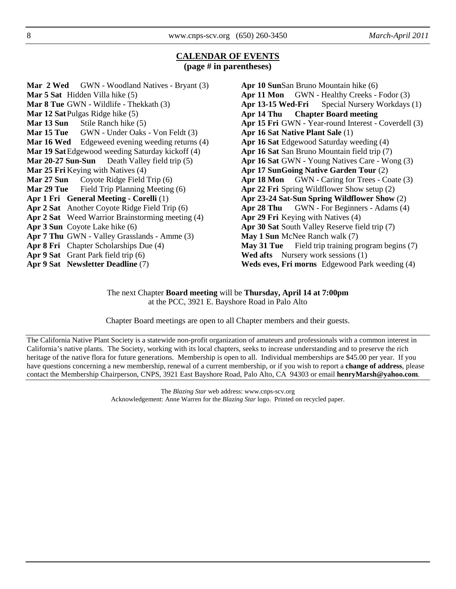### **CALENDAR OF EVENTS (page # in parentheses)**

**Mar 2 Wed** GWN - Woodland Natives - Bryant (3) **Mar 5 Sat** Hidden Villa hike (5) **Mar 8 Tue** GWN - Wildlife - Thekkath (3) **Mar 12 Sat** Pulgas Ridge hike (5) **Mar 13 Sun** Stile Ranch hike (5) Mar 15 Tue GWN - Under Oaks - Von Feldt (3) **Mar 16 Wed** Edgeweed evening weeding returns (4) **Mar 19 Sat** Edgewood weeding Saturday kickoff (4) **Mar 20-27 Sun-Sun** Death Valley field trip (5) **Mar 25 Fri** Keying with Natives (4) **Mar 27 Sun** Coyote Ridge Field Trip (6) **Mar 29 Tue** Field Trip Planning Meeting (6) **Apr 1 Fri General Meeting - Corelli** (1) **Apr 2 Sat** Another Coyote Ridge Field Trip (6) **Apr 2 Sat** Weed Warrior Brainstorming meeting (4) **Apr 3 Sun** Coyote Lake hike (6) **Apr 7 Thu** GWN - Valley Grasslands - Amme (3) **Apr 8 Fri** Chapter Scholarships Due (4) **Apr 9 Sat** Grant Park field trip (6) **Apr 9 Sat Newsletter Deadline** (7)

```
Apr 10 SunSan Bruno Mountain hike (6)
Apr 11 Mon GWN - Healthy Creeks - Fodor (3)
Apr 13-15 Wed-Fri Special Nursery Workdays (1)
Apr 14 Thu Chapter Board meeting 
Apr 15 Fri GWN - Year-round Interest - Coverdell (3) 
Apr 16 Sat Native Plant Sale (1) 
Apr 16 Sat Edgewood Saturday weeding (4) 
Apr 16 Sat San Bruno Mountain field trip (7) 
Apr 16 Sat GWN - Young Natives Care - Wong (3) 
Apr 17 SunGoing Native Garden Tour (2) 
Apr 18 Mon GWN - Caring for Trees - Coate (3)
Apr 22 Fri Spring Wildflower Show setup (2) 
Apr 23-24 Sat-Sun Spring Wildflower Show (2) 
Apr 28 Thu GWN - For Beginners - Adams (4)
Apr 29 Fri Keying with Natives (4) 
Apr 30 Sat South Valley Reserve field trip (7) 
May 1 Sun McNee Ranch walk (7) 
May 31 Tue Field trip training program begins (7)
Wed afts Nursery work sessions (1) 
Weds eves, Fri morns Edgewood Park weeding (4)
```
The next Chapter **Board meeting** will be **Thursday, April 14 at 7:00pm**  at the PCC, 3921 E. Bayshore Road in Palo Alto

Chapter Board meetings are open to all Chapter members and their guests.

The California Native Plant Society is a statewide non-profit organization of amateurs and professionals with a common interest in California's native plants. The Society, working with its local chapters, seeks to increase understanding and to preserve the rich heritage of the native flora for future generations. Membership is open to all. Individual memberships are \$45.00 per year. If you have questions concerning a new membership, renewal of a current membership, or if you wish to report a **change of address**, please contact the Membership Chairperson, CNPS, 3921 East Bayshore Road, Palo Alto, CA 94303 or email **henryMarsh@yahoo.com**.

> The *Blazing Star* web address: www.cnps-scv.org Acknowledgement: Anne Warren for the *Blazing Star* logo. Printed on recycled paper.